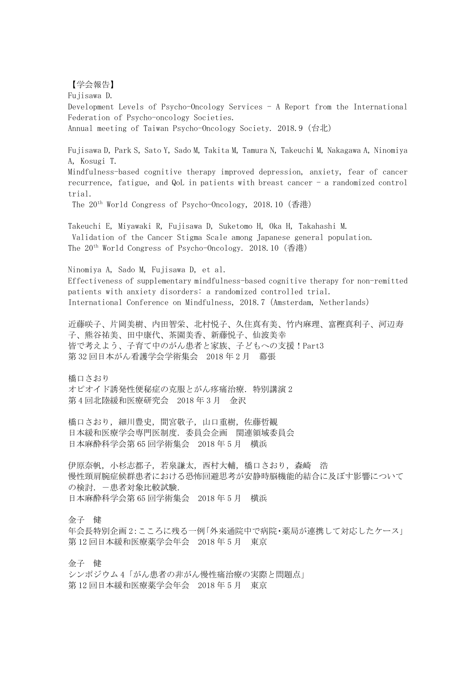【学会報告】

Fujisawa D. Development Levels of Psycho-Oncology Services - A Report from the International Federation of Psycho-oncology Societies. Annual meeting of Taiwan Psycho-Oncology Society. 2018.9(台北) Fujisawa D, Park S, Sato Y, Sado M, Takita M, Tamura N, Takeuchi M, Nakagawa A, Ninomiya A, Kosugi T.

Mindfulness-based cognitive therapy improved depression, anxiety, fear of cancer recurrence, fatigue, and QoL in patients with breast cancer - a randomized control trial.

The 20th World Congress of Psycho-Oncology, 2018.10(香港)

Takeuchi E, Miyawaki R, Fujisawa D, Suketomo H, Oka H, Takahashi M. Validation of the Cancer Stigma Scale among Japanese general population. The 20th World Congress of Psycho-Oncology. 2018.10(香港)

Ninomiya A, Sado M, Fujisawa D, et al. Effectiveness of supplementary mindfulness-based cognitive therapy for non-remitted patients with anxiety disorders: a randomized controlled trial. International Conference on Mindfulness, 2018.7(Amsterdam, Netherlands)

近藤咲子、片岡美樹、内田智栄、北村悦子、久住真有美、竹内麻理、富樫真利子、河辺寿 子、熊谷祐美、田中康代、茶園美香、新藤悦子、仙波美幸 皆で考えよう、子育て中のがん患者と家族、子どもへの支援!Part3 第 32 回日本がん看護学会学術集会 2018 年 2 月 幕張

橋口さおり オピオイド誘発性便秘症の克服とがん疼痛治療.特別講演 2 第 4 回北陸緩和医療研究会 2018 年 3 月 金沢

橋口さおり,細川豊史,間宮敬子,山口重樹,佐藤哲観 日本緩和医療学会専門医制度.委員会企画 関連領域委員会 日本麻酔科学会第 65 回学術集会 2018 年 5 月 横浜

伊原奈帆,小杉志都子,若泉謙太,西村大輔,橋口さおり,森崎 浩 慢性頸肩腕症候群患者における恐怖回避思考が安静時脳機能的結合に及ぼす影響について の検討. 一患者対象比較試験. 日本麻酔科学会第 65 回学術集会 2018 年 5 月 横浜

金子 健

年会長特別企画 2:こころに残る一例「外来通院中で病院・薬局が連携して対応したケース」 第 12 回日本緩和医療薬学会年会 2018 年 5 月 東京

金子 健

シンポジウム 4「がん患者の非がん慢性痛治療の実際と問題点」 第 12 回日本緩和医療薬学会年会 2018 年 5 月 東京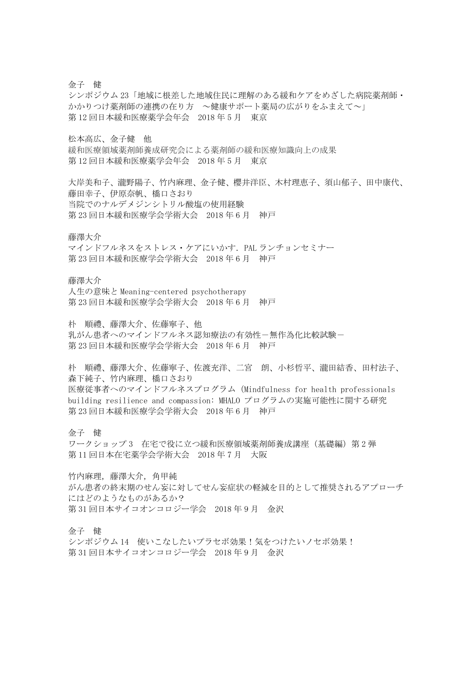金子 健

シンポジウム 23「地域に根差した地域住民に理解のある緩和ケアをめざした病院薬剤師・ かかりつけ薬剤師の連携の在り方 ~健康サポート薬局の広がりをふまえて~」 第 12 回日本緩和医療薬学会年会 2018 年 5 月 東京

松本高広、金子健 他

緩和医療領域薬剤師養成研究会による薬剤師の緩和医療知識向上の成果 第 12 回日本緩和医療薬学会年会 2018 年 5 月 東京

大岸美和子、瀧野陽子、竹内麻理、金子健、櫻井洋臣、木村理恵子、須山郁子、田中康代、 藤田幸子、伊原奈帆、橋口さおり 当院でのナルデメジンシトリル酸塩の使用経験 第 23 回日本緩和医療学会学術大会 2018 年 6 月 神戸

藤澤大介

マインドフルネスをストレス・ケアにいかす.PAL ランチョンセミナー 第 23 回日本緩和医療学会学術大会 2018 年 6 月 神戸

藤澤大介

人生の意味と Meaning-centered psychotherapy 第 23 回日本緩和医療学会学術大会 2018 年 6 月 神戸

朴 順禮、藤澤大介、佐藤寧子、他

乳がん患者へのマインドフルネス認知療法の有効性-無作為化比較試験-第 23 回日本緩和医療学会学術大会 2018 年 6 月 神戸

朴 順禮、藤澤大介、佐藤寧子、佐渡充洋、二宮 朗、小杉哲平、瀧田結香、田村法子、 森下純子、竹内麻理、橋口さおり 医療従事者へのマインドフルネスプログラム(Mindfulness for health professionals building resilience and compassion: MHALO プログラムの実施可能性に関する研究 第 23 回日本緩和医療学会学術大会 2018 年 6 月 神戸

金子 健

ワークショップ 3 在宅で役に立つ緩和医療領域薬剤師養成講座 (基礎編) 第2弾 第 11 回日本在宅薬学会学術大会 2018 年 7 月 大阪

竹内麻理,藤澤大介,角甲純 がん患者の終末期のせん妄に対してせん妄症状の軽減を目的として推奨されるアプローチ にはどのようなものがあるか? 第 31 回日本サイコオンコロジー学会 2018 年 9 月 金沢

金子 健

シンポジウム 14 使いこなしたいプラセボ効果!気をつけたいノセボ効果! 第 31 回日本サイコオンコロジー学会 2018 年 9 月 金沢